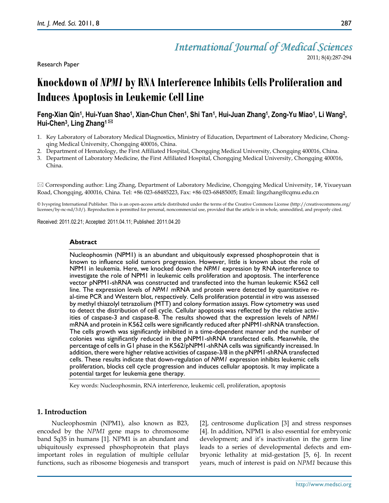# *International Journal of Medical Sciences*

Research Paper

2011; 8(4):287-294

# **Knockdown of** *NPM1* **by RNA Interference Inhibits Cells Proliferation and Induces Apoptosis in Leukemic Cell Line**

# **Feng-Xian Qin<sup>1</sup> , Hui-Yuan Shao<sup>1</sup> , Xian-Chun Chen<sup>1</sup> , Shi Tan<sup>1</sup> , Hui-Juan Zhang<sup>1</sup> , Zong-Yu Miao<sup>1</sup> , Li Wang<sup>2</sup> , Hui-Chen<sup>3</sup> , Ling Zhang<sup>1</sup>**

- 1. Key Laboratory of Laboratory Medical Diagnostics, Ministry of Education, Department of Laboratory Medicine, Chongqing Medical University, Chongqing 400016, China.
- 2. Department of Hematology, the First Affiliated Hospital, Chongqing Medical University, Chongqing 400016, China.
- 3. Department of Laboratory Medicine, the First Affiliated Hospital, Chongqing Medical University, Chongqing 400016, China.

 $\boxtimes$  Corresponding author: Ling Zhang, Department of Laboratory Medicine, Chongqing Medical University, 1#, Yixueyuan Road, Chongqing, 400016, China. Tel: +86 023-68485223, Fax: +86 023-68485005; Email: lingzhang@cqmu.edu.cn

© Ivyspring International Publisher. This is an open-access article distributed under the terms of the Creative Commons License (http://creativecommons.org/ licenses/by-nc-nd/3.0/). Reproduction is permitted for personal, noncommercial use, provided that the article is in whole, unmodified, and properly cited.

Received: 2011.02.21; Accepted: 2011.04.11; Published: 2011.04.20

# **Abstract**

Nucleophosmin (NPM1) is an abundant and ubiquitously expressed phosphoprotein that is known to influence solid tumors progression. However, little is known about the role of NPM1 in leukemia. Here, we knocked down the *NPM1* expression by RNA interference to investigate the role of NPM1 in leukemic cells proliferation and apoptosis. The interference vector pNPM1-shRNA was constructed and transfected into the human leukemic K562 cell line. The expression levels of *NPM1* mRNA and protein were detected by quantitative real-time PCR and Western blot, respectively. Cells proliferation potential *in vitro* was assessed by methyl thiazolyl tetrazolium (MTT) and colony formation assays. Flow cytometry was used to detect the distribution of cell cycle. Cellular apoptosis was reflected by the relative activities of caspase-3 and caspase-8. The results showed that the expression levels of *NPM1* mRNA and protein in K562 cells were significantly reduced after pNPM1-shRNA transfection. The cells growth was significantly inhibited in a time-dependent manner and the number of colonies was significantly reduced in the pNPM1-shRNA transfected cells. Meanwhile, the percentage of cells in G1 phase in the K562/pNPM1-shRNA cells was significantly increased. In addition, there were higher relative activities of caspase-3/8 in the pNPM1-shRNA transfected cells. These results indicate that down-regulation of *NPM1* expression inhibits leukemic cells proliferation, blocks cell cycle progression and induces cellular apoptosis. It may implicate a potential target for leukemia gene therapy.

Key words: Nucleophosmin, RNA interference, leukemic cell, proliferation, apoptosis

# **1. Introduction**

Nucleophosmin (NPM1), also known as B23, encoded by the *NPM1* gene maps to chromosome band 5q35 in humans [1]. NPM1 is an abundant and ubiquitously expressed phosphoprotein that plays important roles in regulation of multiple cellular functions, such as ribosome biogenesis and transport [2], centrosome duplication [3] and stress responses [4]. In addition, NPM1 is also essential for embryonic development; and it's inactivation in the germ line leads to a series of developmental defects and embryonic lethality at mid-gestation [5, 6]. In recent years, much of interest is paid on *NPM1* because this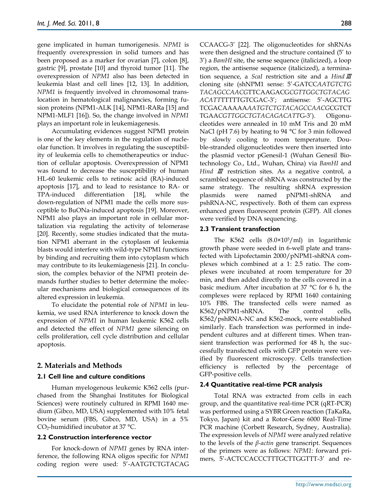gene implicated in human tumorigenesis. *NPM1* is frequently overexpression in solid tumors and has been proposed as a marker for ovarian [7], colon [8], gastric [9], prostate [10] and thyroid tumor [11]. The overexpression of *NPM1* also has been detected in leukemia blast and cell lines [12, 13]. In addition, *NPM1* is frequently involved in chromosomal translocation in hematological malignancies, forming fusion proteins (NPM1-ALK [14], NPM1-RARa [15] and NPM1-MLF1 [16]). So, the change involved in *NPM1* plays an important role in leukemiagenesis.

Accumulating evidences suggest NPM1 protein is one of the key elements in the regulation of nucleolar function. It involves in regulating the susceptibility of leukemia cells to chemotherapeutics or induction of cellular apoptosis. Overexpression of NPM1 was found to decrease the susceptibility of human HL-60 leukemic cells to retinoic acid (RA)-induced apoptosis [17], and to lead to resistance to RA- or TPA-induced differentiation [18], while the down-regulation of NPM1 made the cells more susceptible to BuONa-induced apoptosis [19]. Moreover, NPM1 also plays an important role in cellular mortalization via regulating the activity of telomerase [20]. Recently, some studies indicated that the mutation NPM1 aberrant in the cytoplasm of leukemia blasts would interfere with wild-type NPM1 functions by binding and recruiting them into cytoplasm which may contribute to its leukemiagenesis [21]. In conclusion, the complex behavior of the NPM1 protein demands further studies to better determine the molecular mechanisms and biological consequences of its altered expression in leukemia.

To elucidate the potential role of *NPM1* in leukemia, we used RNA interference to knock down the expression of *NPM1* in human leukemic K562 cells and detected the effect of *NPM1* gene silencing on cells proliferation, cell cycle distribution and cellular apoptosis.

# **2. Materials and Methods**

# **2.1 Cell line and culture conditions**

Human myelogenous leukemic K562 cells (purchased from the Shanghai Institutes for Biological Sciences) were routinely cultured in RPMI 1640 medium (Gibco, MD, USA) supplemented with 10% fetal bovine serum (FBS, Gibco, MD, USA) in a 5%  $CO<sub>2</sub>$ -humidified incubator at 37 °C.

#### **2.2 Construction interference vector**

For knock-down of *NPM1* genes by RNA interference, the following RNA oligos specific for *NPM1* coding region were used: 5'-AATGTCTGTACAG CCAACG-3' [22]. The oligonucleotides for shRNAs were then designed and the structure contained (5' to 3') a *BamHI* site, the sense sequence (italicized), a loop region, the antisense sequence (italicized), a termination sequence, a *ScaI* restriction site and a *Hind*Ⅲ cloning site (shNPM1 sense: 5'-GATCC*AATGTCTG TACAGCCAACG*TTCAAGACG*CGTTGGCTGTACAG ACATT*TTTTTGTCGAC-3'; antisense: 5'-AGCTTG TCGACAAAAA*AATGTCTGTACAGCCAACG*CGTCT TGAA*CGTTGGCTGTACAGACATT*G-3'). Oligonucleotides were annealed in 10 mM Tris and 20 mM NaCl (pH 7.6) by heating to 94 °C for 3 min followed by slowly cooling to room temperature. Double-stranded oligonucleotides were then inserted into the plasmid vector pGenesil-1 (Wuhan Genesil Biotechnology Co., Ltd., Wuhan, China) via *BamHI* and *Hind Ⅲ* restriction sites. As a negative control, a scrambled sequence of shRNA was constructed by the same strategy. The resulting shRNA expression plasmids were named pNPM1-shRNA and pshRNA-NC, respectively. Both of them can express enhanced green fluorescent protein (GFP). All clones were verified by DNA sequencing.

#### **2.3 Transient transfection**

The K562 cells  $(8.0 \times 10^5/\text{ml})$  in logarithmic growth phase were seeded in 6-well plate and transfected with Lipofectamin 2000/pNPM1-shRNA complexes which combined at a 1: 2.5 ratio. The complexes were incubated at room temperature for 20 min, and then added directly to the cells covered in a basic medium. After incubation at 37 °C for 6 h, the complexes were replaced by RPMI 1640 containing 10% FBS. The transfected cells were named as K562/pNPM1-shRNA. The control cells, K562/pshRNA-NC and K562-mock, were established similarly. Each transfection was performed in independent cultures and at different times. When transient transfection was performed for 48 h, the successfully transfected cells with GFP protein were verified by fluorescent microscopy. Cells transfection efficiency is reflected by the percentage of GFP-positive cells.

#### **2.4 Quantitative real-time PCR analysis**

Total RNA was extracted from cells in each group, and the quantitative real-time PCR (qRT-PCR) was performed using a SYBR Green reaction (TaKaRa, Tokyo, Japan) kit and a Rotor-Gene 6000 Real-Time PCR machine (Corbett Research, Sydney, Australia). The expression levels of *NPM1* were analyzed relative to the levels of the *β-actin* gene transcript. Sequences of the primers were as follows: *NPM1*: forward primers, 5'-ACTCCACCCTTTGCTTGGTTT-3' and re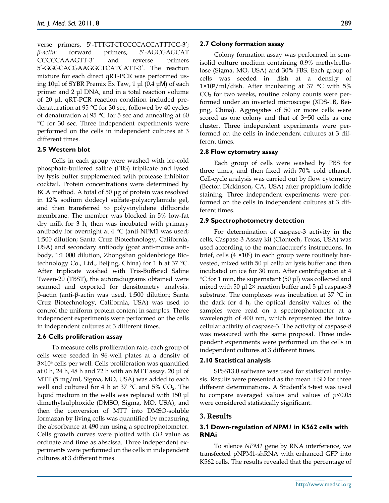verse primers, 5'-TTTGTCTCCCCACCATTTCC-3'; *β-actin*: forward primers, 5'-AGCGAGCAT CCCCCAAAGTT-3' and reverse primers 5'-GGGCACGAAGGCTCATCATT-3'. The reaction mixture for each direct qRT-PCR was performed using 10μl of SYBR Premix Ex Taw, 1 μl (0.4 μM) of each primer and 2 μl DNA, and in a total reaction volume of 20 μl. qRT-PCR reaction condition included predenaturation at 95 °C for 30 sec, followed by 40 cycles of denaturation at 95 °C for 5 sec and annealing at 60 °C for 30 sec. Three independent experiments were performed on the cells in independent cultures at 3 different times.

#### **2.5 Western blot**

Cells in each group were washed with ice-cold phosphate-buffered saline (PBS) triplicate and lysed by lysis buffer supplemented with protease inhibitor cocktail. Protein concentrations were determined by BCA method. A total of 50 μg of protein was resolved in 12% sodium dodecyl sulfate-polyacrylamide gel, and then transferred to polyvinylidene difluoride membrane. The member was blocked in 5% low-fat dry milk for 3 h, then was incubated with primary antibody for overnight at 4 °C (anti-NPM1 was used; 1:500 dilution; Santa Cruz Biotechnology, California, USA) and secondary antibody (goat anti-mouse antibody, 1:1 000 dilution, Zhongshan goldenbrioge Biotechnology Co., Ltd., Beijing, China) for 1 h at 37 °C. After triplicate washed with Tris-Buffered Saline Tween-20 (TBST), the autoradiograms obtained were scanned and exported for densitometry analysis. β-actin (anti-β-actin was used, 1:500 dilution; Santa Cruz Biotechnology, California, USA) was used to control the uniform protein content in samples. Three independent experiments were performed on the cells in independent cultures at 3 different times.

#### **2.6 Cells proliferation assay**

To measure cells proliferation rate, each group of cells were seeded in 96-well plates at a density of 3×10<sup>3</sup> cells per well. Cells proliferation was quantified at 0 h, 24 h, 48 h and 72 h with an MTT assay. 20 μl of MTT (5 mg/ml, Sigma, MO, USA) was added to each well and cultured for 4 h at 37  $^{\circ}$ C and 5% CO<sub>2</sub>. The liquid medium in the wells was replaced with 150 μl dimethylsulphoxide (DMSO, Sigma, MO, USA), and then the conversion of MTT into DMSO-soluble formazan by living cells was quantified by measuring the absorbance at 490 nm using a spectrophotometer. Cells growth curves were plotted with *OD* value as ordinate and time as abscissa. Three independent experiments were performed on the cells in independent cultures at 3 different times.

#### **2.7 Colony formation assay**

Colony formation assay was performed in semisolid culture medium containing 0.9% methylcellulose (Sigma, MO, USA) and 30% FBS. Each group of cells was seeded in dish at a density of  $1 \times 10^{3}$ /ml/dish. After incubating at 37 °C with 5% CO<sup>2</sup> for two weeks, routine colony counts were performed under an inverted microscope (XDS-1B, Beijing, China). Aggregates of 50 or more cells were scored as one colony and that of 3~50 cells as one cluster. Three independent experiments were performed on the cells in independent cultures at 3 different times.

#### **2.8 Flow cytometry assay**

Each group of cells were washed by PBS for three times, and then fixed with 70% cold ethanol. Cell-cycle analysis was carried out by flow cytometry (Becton Dickinson, CA, USA) after propidium iodide staining. Three independent experiments were performed on the cells in independent cultures at 3 different times.

#### **2.9 Spectrophotometry detection**

For determination of caspase-3 activity in the cells, Caspase-3 Assay kit (Clontech, Texas, USA) was used according to the manufacturer's instructions. In brief, cells  $(4 \times 10^6)$  in each group were routinely harvested, mixed with 50 μl cellular lysis buffer and then incubated on ice for 30 min. After centrifugation at 4 °C for 1 min, the supernatant (50 μl) was collected and mixed with 50 μl 2× reaction buffer and 5 μl caspase-3 substrate. The complexes was incubation at 37 °C in the dark for 4 h, the optical density values of the samples were read on a spectrophotometer at a wavelength of 400 nm, which represented the intracellular activity of caspase-3. The activity of caspase-8 was measured with the same proposal. Three independent experiments were performed on the cells in independent cultures at 3 different times.

# **2.10 Statistical analysis**

SPSS13.0 software was used for statistical analysis. Results were presented as the mean  $\pm$  SD for three different determinations. A Student's t-test was used to compare averaged values and values of *p*<0.05 were considered statistically significant.

# **3. Results**

# **3.1 Down-regulation of** *NPM1* **in K562 cells with RNAi**

To silence *NPM1* gene by RNA interference, we transfected pNPM1-shRNA with enhanced GFP into K562 cells. The results revealed that the percentage of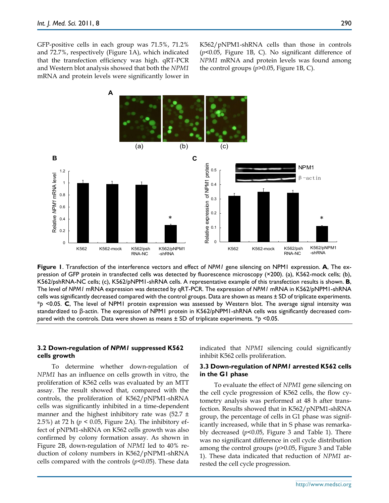GFP-positive cells in each group was 71.5%, 71.2% and 72.7%, respectively (Figure 1A), which indicated that the transfection efficiency was high. qRT-PCR and Western blot analysis showed that both the *NPM1* mRNA and protein levels were significantly lower in

K562/pNPM1-shRNA cells than those in controls (*p*<0.05, Figure 1B, C). No significant difference of *NPM1* mRNA and protein levels was found among the control groups (*p*>0.05, Figure 1B, C).



**Figure 1**. Transfection of the interference vectors and effect of *NPM1* gene silencing on NPM1 expression. **A**, The expression of GFP protein in transfected cells was detected by fluorescence microscopy (×200). (a), K562-mock cells; (b), K562/pshRNA-NC cells; (c), K562/pNPM1-shRNA cells. A representative example of this transfection results is shown. **B**, The level of *NPM1* mRNA expression was detected by qRT-PCR. The expression of *NPM1* mRNA in K562/pNPM1-shRNA cells was significantly decreased compared with the control groups. Data are shown as means ± SD of triplicate experiments. \**p* <0.05. **C**, The level of NPM1 protein expression was assessed by Western blot. The average signal intensity was standardized to β-actin. The expression of NPM1 protein in K562/pNPM1-shRNA cells was significantly decreased compared with the controls. Data were shown as means ± SD of triplicate experiments. \**p* <0.05.

#### **3.2 Down-regulation of** *NPM1* **suppressed K562 cells growth**

To determine whether down-regulation of *NPM1* has an influence on cells growth in vitro, the proliferation of K562 cells was evaluated by an MTT assay. The result showed that, compared with the controls, the proliferation of K562/pNPM1-shRNA cells was significantly inhibited in a time-dependent manner and the highest inhibitory rate was  $(52.7 \pm$ 2.5%) at 72 h (*p* < 0.05, Figure 2A). The inhibitory effect of pNPM1-shRNA on K562 cells growth was also confirmed by colony formation assay. As shown in Figure 2B, down-regulation of *NPM1* led to 40% reduction of colony numbers in K562/pNPM1-shRNA cells compared with the controls  $(p<0.05)$ . These data indicated that *NPM1* silencing could significantly inhibit K562 cells proliferation.

#### **3.3 Down-regulation of** *NPM1* **arrested K562 cells in the G1 phase**

To evaluate the effect of *NPM1* gene silencing on the cell cycle progression of K562 cells, the flow cytometry analysis was performed at 48 h after transfection. Results showed that in K562/pNPM1-shRNA group, the percentage of cells in G1 phase was significantly increased, while that in S phase was remarkably decreased (*p*<0.05, Figure 3 and Table 1). There was no significant difference in cell cycle distribution among the control groups (*p*>0.05, Figure 3 and Table 1). These data indicated that reduction of *NPM1* arrested the cell cycle progression.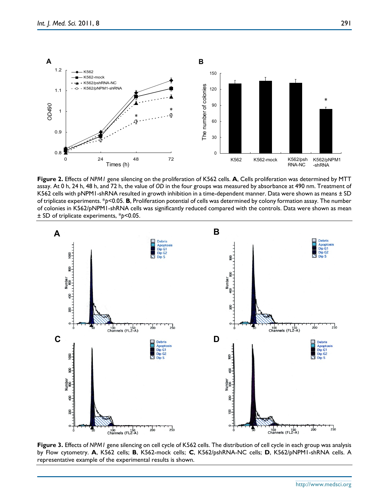

**Figure 2.** Effects of *NPM1* gene silencing on the proliferation of K562 cells. **A**, Cells proliferation was determined by MTT assay. At 0 h, 24 h, 48 h, and 72 h, the value of *OD* in the four groups was measured by absorbance at 490 nm. Treatment of K562 cells with pNPM1-shRNA resulted in growth inhibition in a time-dependent manner. Data were shown as means ± SD of triplicate experiments. \**p*<0.05. **B**, Proliferation potential of cells was determined by colony formation assay. The number of colonies in K562/pNPM1-shRNA cells was significantly reduced compared with the controls. Data were shown as mean ± SD of triplicate experiments, \**p*<0.05.



**Figure 3.** Effects of *NPM1* gene silencing on cell cycle of K562 cells. The distribution of cell cycle in each group was analysis by Flow cytometry. **A**, K562 cells; **B**, K562-mock cells; **C**, K562/pshRNA-NC cells; **D**, K562/pNPM1-shRNA cells. A representative example of the experimental results is shown.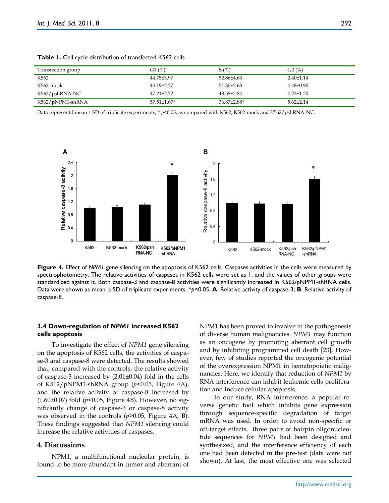| Transfection group | G1(%)            | S(%)             | G2(%)           |
|--------------------|------------------|------------------|-----------------|
| K562               | 44.75±3.97       | 52.86±4.63       | $2.40\pm1.14$   |
| K562-mock          | 44.19±2.27       | $51.30 \pm 2.63$ | $4.48 \pm 0.90$ |
| K562/pshRNA-NC     | $47.21 \pm 2.72$ | 48.58±2.84       | $4.23 \pm 1.20$ |
| K562/pNPM1-shRNA   | 57.51±1.67*      | 36.87±2.88*      | $5.62 \pm 2.14$ |

**Table 1.** Cell cycle distribution of transfected K562 cells

Data representd mean ± SD of triplicate experiments, \*  $p$ <0.05, as compared with K562, K562-mock and K562/pshRNA-NC.



**Figure 4.** Effect of *NPM1* gene silencing on the apoptosis of K562 cells. Caspases activities in the cells were measured by spectrophotometry. The relative activities of caspases in K562 cells were set as 1, and the values of other groups were standardized against it. Both caspase-3 and caspase-8 activities were significantly increased in K562/pNPM1-shRNA cells. Data were shown as mean ± SD of triplicate experiments, \**p*<0.05. **A**, Relative activity of caspase-3; **B**, Relative activity of caspase-8.

# **3.4 Down-regulation of** *NPM1* **increased K562 cells apoptosis**

To investigate the effect of *NPM1* gene silencing on the apoptosis of K562 cells, the activities of caspase-3 and caspase-8 were detected. The results showed that, compared with the controls, the relative activity of caspase-3 increased by (2.01±0.04) fold in the cells of K562/pNPM1-shRNA group (*p*<0.05, Figure 4A), and the relative activity of caspase-8 increased by (1.60±0.07) fold (*p*<0.05, Figure 4B). However, no significantly change of caspase-3 or caspase-8 activity was observed in the controls (*p*>0.05, Figure 4A, B). These findings suggested that *NPM1* silencing could increase the relative activities of caspases.

#### **4. Discussions**

NPM1, a multifunctional nucleolar protein, is found to be more abundant in tumor and aberrant of NPM1 has been proved to involve in the pathogenesis of diverse human malignancies. *NPM1* may function as an oncogene by promoting aberrant cell growth and by inhibiting programmed cell death [23]. However, few of studies reported the oncogenic potential of the overexpression NPM1 in hematopoietic malignancies. Here, we identify that reduction of *NPM1* by RNA interference can inhibit leukemic cells proliferation and induce cellular apoptosis.

In our study, RNA interference, a popular reverse genetic tool which inhibits gene expression through sequence-specific degradation of target mRNA was used. In order to avoid non-specific or off-target effects, three pairs of hairpin oligonucleotide sequences for *NPM1* had been designed and synthesized, and the interference efficiency of each one had been detected in the pre-test (data were not shown). At last, the most effective one was selected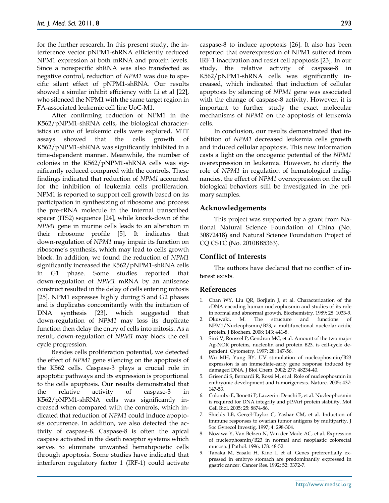for the further research. In this present study, the interference vector pNPM1-shRNA efficiently reduced NPM1 expression at both mRNA and protein levels. Since a nonspecific shRNA was also transfected as negative control, reduction of *NPM1* was due to specific silent effect of pNPM1-shRNA. Our results showed a similar inhibit efficiency with Li et al [22], who silenced the NPM1 with the same target region in FA-associated leukemic cell line UoC-M1.

After confirming reduction of NPM1 in the K562/pNPM1-shRNA cells, the biological characteristics *in vitro* of leukemic cells were explored. MTT assays showed that the cells growth of K562/pNPM1-shRNA was significantly inhibited in a time-dependent manner. Meanwhile, the number of colonies in the K562/pNPM1-shRNA cells was significantly reduced compared with the controls. These findings indicated that reduction of *NPM1* accounted for the inhibition of leukemia cells proliferation. NPM1 is reported to support cell growth based on its participation in synthesizing of ribosome and process the pre-rRNA molecule in the Internal transcribed spacer (ITS2) sequence [24], while knock-down of the *NPM1* gene in murine cells leads to an alteration in their ribosome profile [5]. It indicates that down-regulation of *NPM1* may impair its function on ribosome's synthesis, which may lead to cells growth block. In addition, we found the reduction of *NPM1*  significantly increased the K562/pNPM1-shRNA cells in G1 phase. Some studies reported that down-regulation of *NPM1* mRNA by an antisense construct resulted in the delay of cells entering mitosis [25]. NPM1 expresses highly during S and G2 phases and is duplicates concomitantly with the initiation of DNA synthesis [23], which suggested that down-regulation of *NPM1* may loss its duplicate function then delay the entry of cells into mitosis. As a result, down-regulation of *NPM1* may block the cell cycle progression.

Besides cells proliferation potential, we detected the effect of *NPM1* gene silencing on the apoptosis of the K562 cells. Caspase-3 plays a crucial role in apoptotic pathways and its expression is proportional to the cells apoptosis. Our results demonstrated that the relative activity of caspase-3 in K562/pNPM1-shRNA cells was significantly increased when compared with the controls, which indicated that reduction of *NPM1* could induce apoptosis occurrence. In addition, we also detected the activity of caspase-8. Caspase-8 is often the apical caspase activated in the death receptor systems which serves to eliminate unwanted hematopoietic cells through apoptosis. Some studies have indicated that interferon regulatory factor 1 (IRF-1) could activate

caspase-8 to induce apoptosis [26]. It also has been reported that overexpression of NPM1 suffered from IRF-1 inactivation and resist cell apoptosis [23]. In our study, the relative activity of caspase-8 in K562/pNPM1-shRNA cells was significantly increased, which indicated that induction of cellular apoptosis by silencing of *NPM1* gene was associated with the change of caspase-8 activity. However, it is important to further study the exact molecular mechanisms of *NPM1* on the apoptosis of leukemia cells.

In conclusion, our results demonstrated that inhibition of *NPM1* decreased leukemia cells growth and induced cellular apoptosis. This new information casts a light on the oncogenic potential of the *NPM1* overexpression in leukemia. However, to clarify the role of *NPM1* in regulation of hematological malignancies, the effect of *NPM1* overexpression on the cell biological behaviors still be investigated in the primary samples.

#### **Acknowledgements**

This project was supported by a grant from National Natural Science Foundation of China (No. 30872418) and Natural Science Foundation Project of CQ CSTC (No. 2010BB5363).

#### **Conflict of Interests**

The authors have declared that no conflict of interest exists.

#### **References**

- 1. Chan WY, Liu QR, Borjigin J, et al. Characterization of the cDNA encoding human nucleophosmin and studies of its role in normal and abnormal growth. Biochemistry. 1989; 28: 1033-9.
- 2. Okuwaki, M. The structure and functions of NPM1/Nucleophsmin/B23, a multifunctional nucleolar acidic protein. J Biochem. 2008; 143: 441-8.
- Sirri V, Roussel P, Gendron MC, et al. Amount of the two major Ag-NOR proteins, nucleolin and protein B23, is cell-cycle dependent. Cytometry. 1997; 28: 147-56.
- 4. Wu MH, Yung BY. UV stimulation of nucleophosmin/B23 expression is an immediate-early gene response induced by damaged DNA. J Biol Chem. 2002; 277: 48234-40.
- 5. Grisendi S, Bernardi R, Rossi M, et al. Role of nucleophosmin in embryonic development and tumorigenesis. Nature. 2005; 437: 147-53.
- 6. Colombo E, Bonetti P, Lazzerini Denchi E, et al. Nucleophosmin is required for DNA integrity and p19Arf protein stability. Mol Cell Biol. 2005; 25: 8874-86.
- 7. Shields LB, Gerçel-Taylor C, Yashar CM, et al. Induction of immune responses to ovarian tumor antigens by multiparity. J Soc Gynecol Investig. 1997; 4: 298-304.
- 8. Nozawa Y, Van Belzen N, Van der Made AC, et al. Expression of nucleophosmin/B23 in normal and neoplastic colorectal mucosa. J Pathol. 1996; 178: 48-52.
- 9. Tanaka M, Sasaki H, Kino I, et al. Genes preferentially expressed in embryo stomach are predominantly expressed in gastric cancer. Cancer Res. 1992; 52: 3372-7.